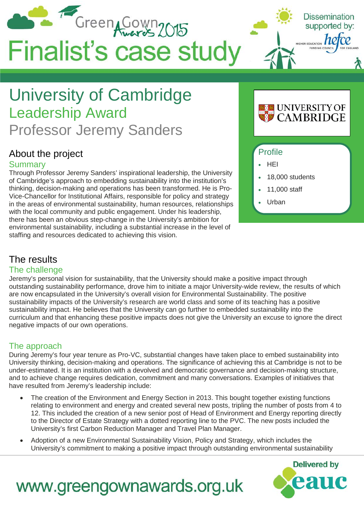

## University of Cambridge Leadership Award Professor Jeremy Sanders

### About the project

#### **Summarv**

Through Professor Jeremy Sanders' inspirational leadership, the University of Cambridge's approach to embedding sustainability into the institution's thinking, decision-making and operations has been transformed. He is Pro-Vice-Chancellor for Institutional Affairs, responsible for policy and strategy in the areas of environmental sustainability, human resources, relationships with the local community and public engagement. Under his leadership, there has been an obvious step-change in the University's ambition for environmental sustainability, including a substantial increase in the level of staffing and resources dedicated to achieving this vision.

# UNIVERSITY OF<br>CAMBRIDGE

#### Profile

- HEI
- 18,000 students
- 11,000 staff
- Urban

### The results

#### The challenge

Jeremy's personal vision for sustainability, that the University should make a positive impact through outstanding sustainability performance, drove him to initiate a major University-wide review, the results of which are now encapsulated in the University's overall vision for Environmental Sustainability. The positive sustainability impacts of the University's research are world class and some of its teaching has a positive sustainability impact. He believes that the University can go further to embedded sustainability into the curriculum and that enhancing these positive impacts does not give the University an excuse to ignore the direct negative impacts of our own operations.

### The approach

During Jeremy's four year tenure as Pro-VC, substantial changes have taken place to embed sustainability into University thinking, decision-making and operations. The significance of achieving this at Cambridge is not to be under-estimated. It is an institution with a devolved and democratic governance and decision-making structure, and to achieve change requires dedication, commitment and many conversations. Examples of initiatives that have resulted from Jeremy's leadership include:

- The creation of the Environment and Energy Section in 2013. This bought together existing functions relating to environment and energy and created several new posts, tripling the number of posts from 4 to 12. This included the creation of a new senior post of Head of Environment and Energy reporting directly to the Director of Estate Strategy with a dotted reporting line to the PVC. The new posts included the University's first Carbon Reduction Manager and Travel Plan Manager.
- Adoption of a new Environmental Sustainability Vision, Policy and Strategy, which includes the University's commitment to making a positive impact through outstanding environmental sustainability



## www.greengownawards.org.uk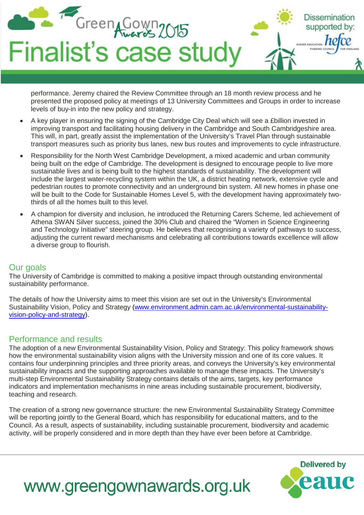

performance. Jeremy chaired the Review Committee through an 18 month review process and he presented the proposed policy at meetings of 13 University Committees and Groups in order to increase levels of buy-in into the new policy and strategy.

- A key player in ensuring the signing of the Cambridge City Deal which will see a £billion invested in improving transport and facilitating housing delivery in the Cambridge and South Cambridgeshire area. This will, in part, greatly assist the implementation of the University's Travel Plan through sustainable transport measures such as priority bus lanes, new bus routes and improvements to cycle infrastructure.
- Responsibility for the North West Cambridge Development, a mixed academic and urban community being built on the edge of Cambridge. The development is designed to encourage people to live more sustainable lives and is being built to the highest standards of sustainability. The development will include the largest water-recycling system within the UK, a district heating network, extensive cycle and pedestrian routes to promote connectivity and an underground bin system. All new homes in phase one will be built to the Code for Sustainable Homes Level 5, with the development having approximately twothirds of all the homes built to this level.
- A champion for diversity and inclusion, he introduced the Returning Carers Scheme, led achievement of Athena SWAN Silver success, joined the 30% Club and chaired the "Women in Science Engineering and Technology Initiative" steering group. He believes that recognising a variety of pathways to success, adjusting the current reward mechanisms and celebrating all contributions towards excellence will allow a diverse group to flourish.

#### Our goals

The University of Cambridge is committed to making a positive impact through outstanding environmental sustainability performance.

The details of how the University aims to meet this vision are set out in the University's Environmental Sustainability Vision, Policy and Strategy [\(www.environment.admin.cam.ac.uk/environmental-sustainability](http://www.environment.admin.cam.ac.uk/environmental-sustainability-vision-policy-and-strategy)[vision-policy-and-strategy\)](http://www.environment.admin.cam.ac.uk/environmental-sustainability-vision-policy-and-strategy).

#### Performance and results

The adoption of a new Environmental Sustainability Vision, Policy and Strategy: This policy framework shows how the environmental sustainability vision aligns with the University mission and one of its core values. It contains four underpinning principles and three priority areas, and conveys the University's key environmental sustainability impacts and the supporting approaches available to manage these impacts. The University's multi-step Environmental Sustainability Strategy contains details of the aims, targets, key performance indicators and implementation mechanisms in nine areas including sustainable procurement, biodiversity, teaching and research.

The creation of a strong new governance structure: the new Environmental Sustainability Strategy Committee will be reporting jointly to the General Board, which has responsibility for educational matters, and to the Council. As a result, aspects of sustainability, including sustainable procurement, biodiversity and academic activity, will be properly considered and in more depth than they have ever been before at Cambridge.



## www.greengownawards.org.uk